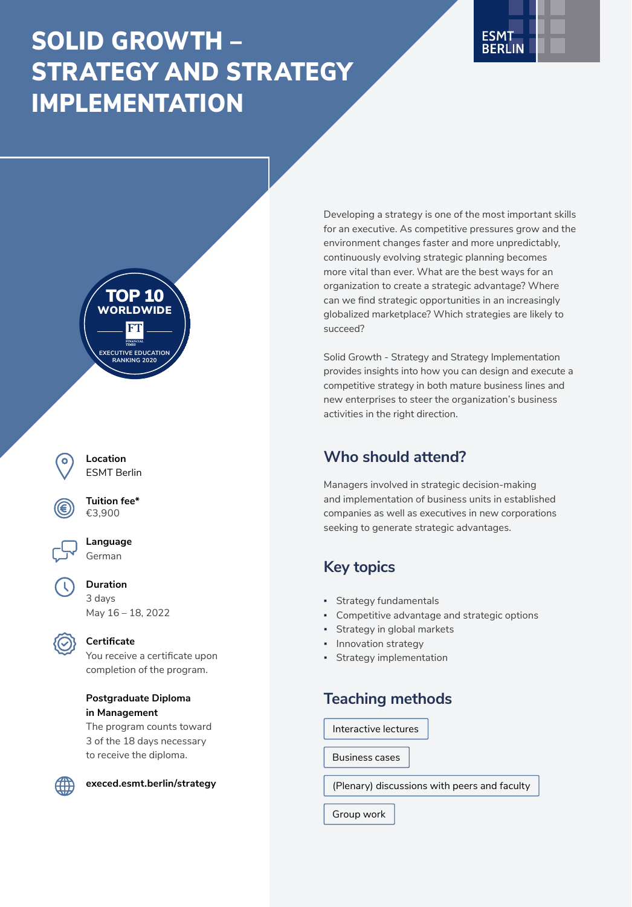# SOLID GROWTH – STRATEGY AND STRATEGY IMPLEMENTATION







**Location** ESMT Berlin



**Tuition fee\*** €3,900



**Duration** 3 days May 16 – 18, 2022



### **Certificate**

You receive a certificate upon completion of the program.

### **Postgraduate Diploma in Management**

The program counts toward 3 of the 18 days necessary to receive the diploma.



**[execed.esmt.berlin/strategy](http://execed.esmt.berlin/strategy)**

Developing a strategy is one of the most important skills for an executive. As competitive pressures grow and the environment changes faster and more unpredictably, continuously evolving strategic planning becomes more vital than ever. What are the best ways for an organization to create a strategic advantage? Where can we find strategic opportunities in an increasingly globalized marketplace? Which strategies are likely to succeed?

Solid Growth - Strategy and Strategy Implementation provides insights into how you can design and execute a competitive strategy in both mature business lines and new enterprises to steer the organization's business activities in the right direction.

# **Who should attend?**

Managers involved in strategic decision-making and implementation of business units in established companies as well as executives in new corporations seeking to generate strategic advantages.

# **Key topics**

- Strategy fundamentals
- **Competitive advantage and strategic options**
- Strategy in global markets
- Innovation strategy
- Strategy implementation

### **Teaching methods**

Interactive lectures

Business cases

(Plenary) discussions with peers and faculty

Group work